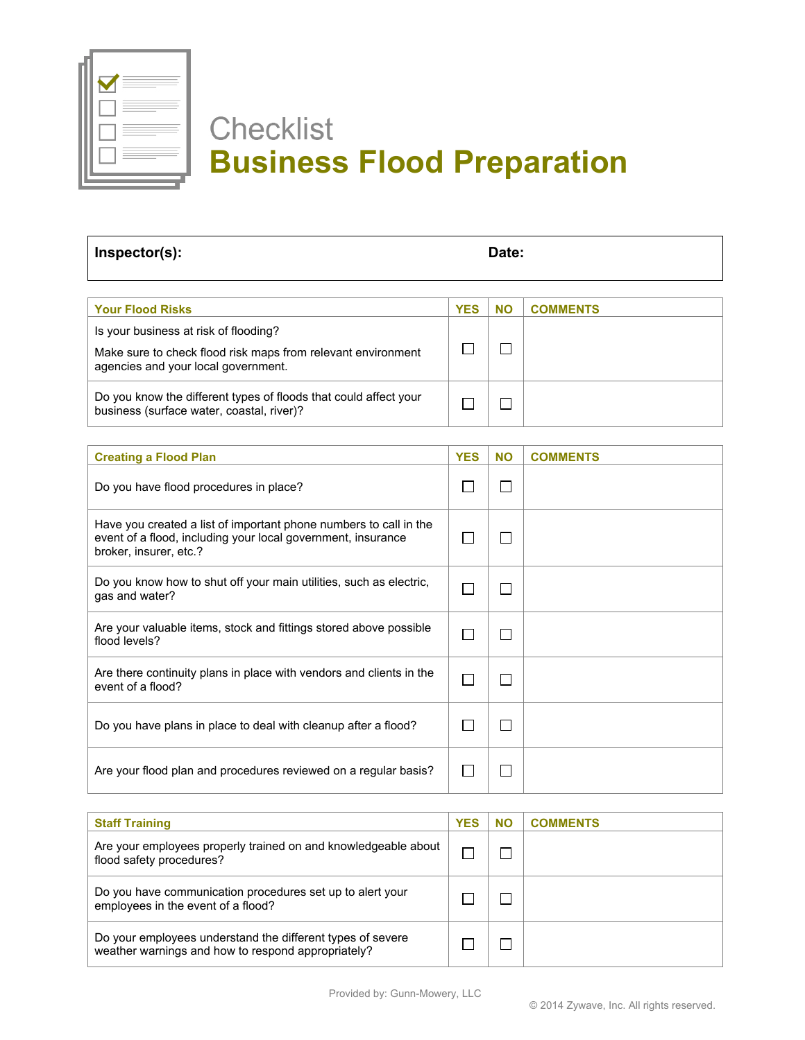

## **Checklist Business Flood Preparation**

| Inspector(s): | Date: |
|---------------|-------|
|               |       |

| <b>Your Flood Risks</b>                                                                                                                      | <b>YES</b> | NΟ | <b>COMMENTS</b> |
|----------------------------------------------------------------------------------------------------------------------------------------------|------------|----|-----------------|
| Is your business at risk of flooding?<br>Make sure to check flood risk maps from relevant environment<br>agencies and your local government. |            |    |                 |
| Do you know the different types of floods that could affect your<br>business (surface water, coastal, river)?                                |            |    |                 |

| <b>Creating a Flood Plan</b>                                                                                                                                | <b>YES</b> | <b>NO</b> | <b>COMMENTS</b> |
|-------------------------------------------------------------------------------------------------------------------------------------------------------------|------------|-----------|-----------------|
| Do you have flood procedures in place?                                                                                                                      |            |           |                 |
| Have you created a list of important phone numbers to call in the<br>event of a flood, including your local government, insurance<br>broker, insurer, etc.? |            |           |                 |
| Do you know how to shut off your main utilities, such as electric,<br>gas and water?                                                                        |            |           |                 |
| Are your valuable items, stock and fittings stored above possible<br>flood levels?                                                                          |            |           |                 |
| Are there continuity plans in place with vendors and clients in the<br>event of a flood?                                                                    |            |           |                 |
| Do you have plans in place to deal with cleanup after a flood?                                                                                              |            |           |                 |
| Are your flood plan and procedures reviewed on a regular basis?                                                                                             |            |           |                 |

| <b>Staff Training</b>                                                                                            | <b>YES</b> | <b>NO</b> | <b>COMMENTS</b> |
|------------------------------------------------------------------------------------------------------------------|------------|-----------|-----------------|
| Are your employees properly trained on and knowledgeable about<br>flood safety procedures?                       |            |           |                 |
| Do you have communication procedures set up to alert your<br>employees in the event of a flood?                  |            |           |                 |
| Do your employees understand the different types of severe<br>weather warnings and how to respond appropriately? |            |           |                 |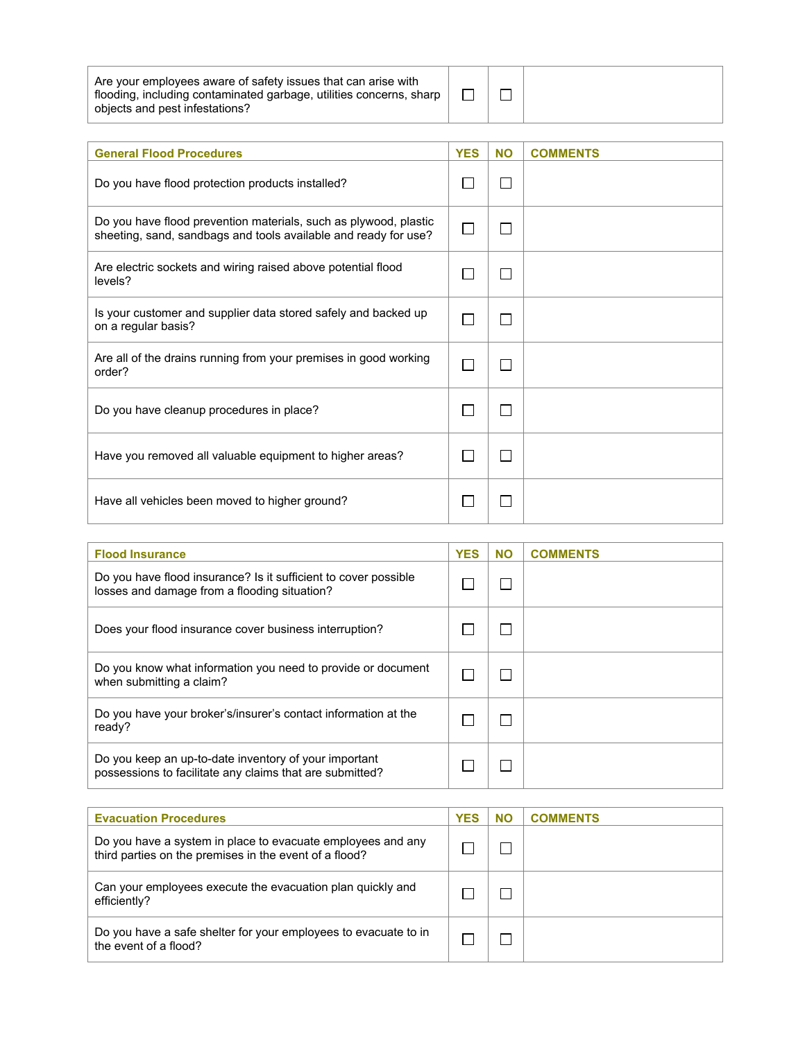| Are your employees aware of safety issues that can arise with       |  |
|---------------------------------------------------------------------|--|
| flooding, including contaminated garbage, utilities concerns, sharp |  |
| objects and pest infestations?                                      |  |

 $\Box$ 

| <b>General Flood Procedures</b>                                                                                                     | <b>YES</b> | <b>NO</b> | <b>COMMENTS</b> |
|-------------------------------------------------------------------------------------------------------------------------------------|------------|-----------|-----------------|
| Do you have flood protection products installed?                                                                                    |            |           |                 |
| Do you have flood prevention materials, such as plywood, plastic<br>sheeting, sand, sandbags and tools available and ready for use? |            |           |                 |
| Are electric sockets and wiring raised above potential flood<br>levels?                                                             |            |           |                 |
| Is your customer and supplier data stored safely and backed up<br>on a regular basis?                                               |            |           |                 |
| Are all of the drains running from your premises in good working<br>order?                                                          |            |           |                 |
| Do you have cleanup procedures in place?                                                                                            |            |           |                 |
| Have you removed all valuable equipment to higher areas?                                                                            |            |           |                 |
| Have all vehicles been moved to higher ground?                                                                                      |            |           |                 |

| <b>Flood Insurance</b>                                                                                            | <b>YES</b> | <b>NO</b> | <b>COMMENTS</b> |
|-------------------------------------------------------------------------------------------------------------------|------------|-----------|-----------------|
| Do you have flood insurance? Is it sufficient to cover possible<br>losses and damage from a flooding situation?   |            |           |                 |
| Does your flood insurance cover business interruption?                                                            |            |           |                 |
| Do you know what information you need to provide or document<br>when submitting a claim?                          |            |           |                 |
| Do you have your broker's/insurer's contact information at the<br>ready?                                          |            |           |                 |
| Do you keep an up-to-date inventory of your important<br>possessions to facilitate any claims that are submitted? |            |           |                 |

| <b>Evacuation Procedures</b>                                                                                          | <b>YES</b> | <b>NO</b> | <b>COMMENTS</b> |
|-----------------------------------------------------------------------------------------------------------------------|------------|-----------|-----------------|
| Do you have a system in place to evacuate employees and any<br>third parties on the premises in the event of a flood? |            |           |                 |
| Can your employees execute the evacuation plan quickly and<br>efficiently?                                            |            |           |                 |
| Do you have a safe shelter for your employees to evacuate to in<br>the event of a flood?                              |            |           |                 |